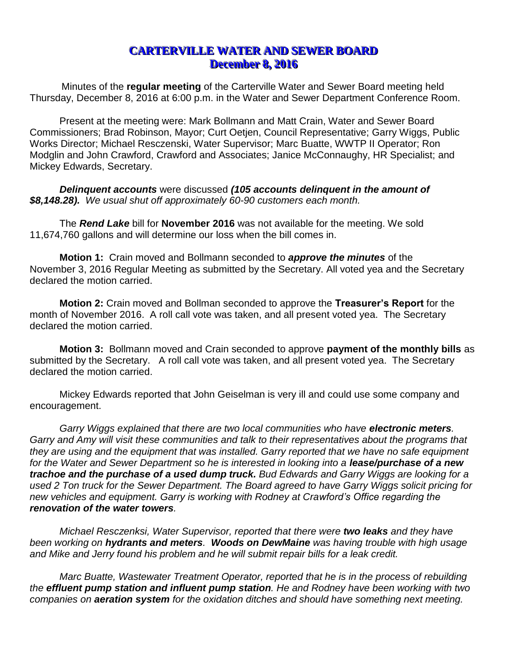## **CARTERVILLE WATER AND SEWER BOARD December 8, 2016**

Minutes of the **regular meeting** of the Carterville Water and Sewer Board meeting held Thursday, December 8, 2016 at 6:00 p.m. in the Water and Sewer Department Conference Room.

Present at the meeting were: Mark Bollmann and Matt Crain, Water and Sewer Board Commissioners; Brad Robinson, Mayor; Curt Oetjen, Council Representative; Garry Wiggs, Public Works Director; Michael Resczenski, Water Supervisor; Marc Buatte, WWTP II Operator; Ron Modglin and John Crawford, Crawford and Associates; Janice McConnaughy, HR Specialist; and Mickey Edwards, Secretary.

*Delinquent accounts* were discussed *(105 accounts delinquent in the amount of \$8,148.28). We usual shut off approximately 60-90 customers each month.* 

The *Rend Lake* bill for **November 2016** was not available for the meeting. We sold 11,674,760 gallons and will determine our loss when the bill comes in.

**Motion 1:** Crain moved and Bollmann seconded to *approve the minutes* of the November 3, 2016 Regular Meeting as submitted by the Secretary. All voted yea and the Secretary declared the motion carried.

**Motion 2:** Crain moved and Bollman seconded to approve the **Treasurer's Report** for the month of November 2016. A roll call vote was taken, and all present voted yea. The Secretary declared the motion carried.

**Motion 3:** Bollmann moved and Crain seconded to approve **payment of the monthly bills** as submitted by the Secretary. A roll call vote was taken, and all present voted yea. The Secretary declared the motion carried.

Mickey Edwards reported that John Geiselman is very ill and could use some company and encouragement.

*Garry Wiggs explained that there are two local communities who have electronic meters. Garry and Amy will visit these communities and talk to their representatives about the programs that they are using and the equipment that was installed. Garry reported that we have no safe equipment*  for the Water and Sewer Department so he is interested in looking into a **lease/purchase of a new** *trachoe and the purchase of a used dump truck. Bud Edwards and Garry Wiggs are looking for a used 2 Ton truck for the Sewer Department. The Board agreed to have Garry Wiggs solicit pricing for new vehicles and equipment. Garry is working with Rodney at Crawford's Office regarding the renovation of the water towers.*

*Michael Resczenksi, Water Supervisor, reported that there were two leaks and they have been working on hydrants and meters. Woods on DewMaine was having trouble with high usage and Mike and Jerry found his problem and he will submit repair bills for a leak credit.*

*Marc Buatte, Wastewater Treatment Operator, reported that he is in the process of rebuilding the effluent pump station and influent pump station. He and Rodney have been working with two companies on aeration system for the oxidation ditches and should have something next meeting.*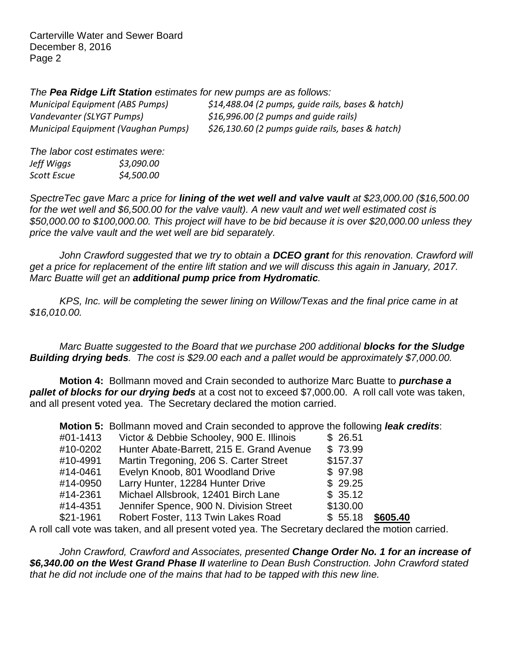Carterville Water and Sewer Board December 8, 2016 Page 2

*The Pea Ridge Lift Station estimates for new pumps are as follows:*

| <b>Municipal Equipment (ABS Pumps)</b> | \$14,488.04 (2 pumps, guide rails, bases & hatch) |
|----------------------------------------|---------------------------------------------------|
| Vandevanter (SLYGT Pumps)              | \$16,996.00 (2 pumps and guide rails)             |
| Municipal Equipment (Vaughan Pumps)    | \$26,130.60 (2 pumps guide rails, bases & hatch)  |

*The labor cost estimates were: Jeff Wiggs \$3,090.00 Scott Escue \$4,500.00*

*SpectreTec gave Marc a price for lining of the wet well and valve vault at \$23,000.00 (\$16,500.00 for the wet well and \$6,500.00 for the valve vault). A new vault and wet well estimated cost is \$50,000.00 to \$100,000.00. This project will have to be bid because it is over \$20,000.00 unless they price the valve vault and the wet well are bid separately.* 

*John Crawford suggested that we try to obtain a DCEO grant for this renovation. Crawford will* get a price for replacement of the entire lift station and we will discuss this again in January, 2017. *Marc Buatte will get an additional pump price from Hydromatic.*

*KPS, Inc. will be completing the sewer lining on Willow/Texas and the final price came in at \$16,010.00.* 

*Marc Buatte suggested to the Board that we purchase 200 additional blocks for the Sludge Building drying beds. The cost is \$29.00 each and a pallet would be approximately \$7,000.00.*

**Motion 4:** Bollmann moved and Crain seconded to authorize Marc Buatte to *purchase a pallet of blocks for our drying beds* at a cost not to exceed \$7,000.00. A roll call vote was taken, and all present voted yea. The Secretary declared the motion carried.

| Motion 5: Bollmann moved and Crain seconded to approve the following leak credits:       |                                           |                     |
|------------------------------------------------------------------------------------------|-------------------------------------------|---------------------|
| #01-1413                                                                                 | Victor & Debbie Schooley, 900 E. Illinois | \$26.51             |
| #10-0202                                                                                 | Hunter Abate-Barrett, 215 E. Grand Avenue | \$73.99             |
| #10-4991                                                                                 | Martin Tregoning, 206 S. Carter Street    | \$157.37            |
| #14-0461                                                                                 | Evelyn Knoob, 801 Woodland Drive          | \$97.98             |
| #14-0950                                                                                 | Larry Hunter, 12284 Hunter Drive          | \$29.25             |
| #14-2361                                                                                 | Michael Allsbrook, 12401 Birch Lane       | \$35.12             |
| #14-4351                                                                                 | Jennifer Spence, 900 N. Division Street   | \$130.00            |
| \$21-1961                                                                                | Robert Foster, 113 Twin Lakes Road        | \$605.40<br>\$55.18 |
| call yote was taken and all present yoted yea. The Secretary declared the motion carried |                                           |                     |

A roll call vote was taken, and all present voted yea. The Secretary declared the motion carried.

*John Crawford, Crawford and Associates, presented Change Order No. 1 for an increase of \$6,340.00 on the West Grand Phase II waterline to Dean Bush Construction. John Crawford stated that he did not include one of the mains that had to be tapped with this new line.*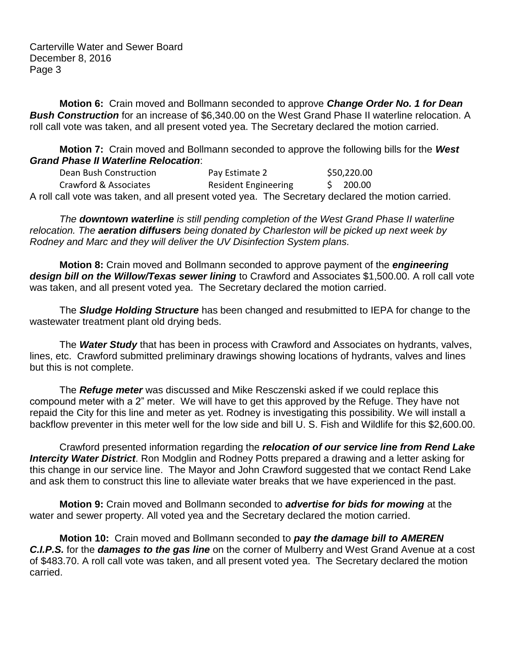Carterville Water and Sewer Board December 8, 2016 Page 3

**Motion 6:** Crain moved and Bollmann seconded to approve *Change Order No. 1 for Dean Bush Construction* for an increase of \$6,340.00 on the West Grand Phase II waterline relocation. A roll call vote was taken, and all present voted yea. The Secretary declared the motion carried.

**Motion 7:** Crain moved and Bollmann seconded to approve the following bills for the *West Grand Phase II Waterline Relocation*:

Dean Bush Construction **Pay Estimate 2** \$50,220.00 Crawford & Associates Resident Engineering \$ 200.00 A roll call vote was taken, and all present voted yea. The Secretary declared the motion carried.

*The downtown waterline is still pending completion of the West Grand Phase II waterline relocation. The aeration diffusers being donated by Charleston will be picked up next week by Rodney and Marc and they will deliver the UV Disinfection System plans.*

**Motion 8:** Crain moved and Bollmann seconded to approve payment of the *engineering design bill on the Willow/Texas sewer lining* to Crawford and Associates \$1,500.00. A roll call vote was taken, and all present voted yea. The Secretary declared the motion carried.

The *Sludge Holding Structure* has been changed and resubmitted to IEPA for change to the wastewater treatment plant old drying beds.

The *Water Study* that has been in process with Crawford and Associates on hydrants, valves, lines, etc. Crawford submitted preliminary drawings showing locations of hydrants, valves and lines but this is not complete.

The *Refuge meter* was discussed and Mike Resczenski asked if we could replace this compound meter with a 2" meter. We will have to get this approved by the Refuge. They have not repaid the City for this line and meter as yet. Rodney is investigating this possibility. We will install a backflow preventer in this meter well for the low side and bill U. S. Fish and Wildlife for this \$2,600.00.

Crawford presented information regarding the *relocation of our service line from Rend Lake Intercity Water District*. Ron Modglin and Rodney Potts prepared a drawing and a letter asking for this change in our service line. The Mayor and John Crawford suggested that we contact Rend Lake and ask them to construct this line to alleviate water breaks that we have experienced in the past.

**Motion 9:** Crain moved and Bollmann seconded to *advertise for bids for mowing* at the water and sewer property. All voted yea and the Secretary declared the motion carried.

**Motion 10:** Crain moved and Bollmann seconded to *pay the damage bill to AMEREN C.I.P.S.* for the *damages to the gas line* on the corner of Mulberry and West Grand Avenue at a cost of \$483.70. A roll call vote was taken, and all present voted yea. The Secretary declared the motion carried.